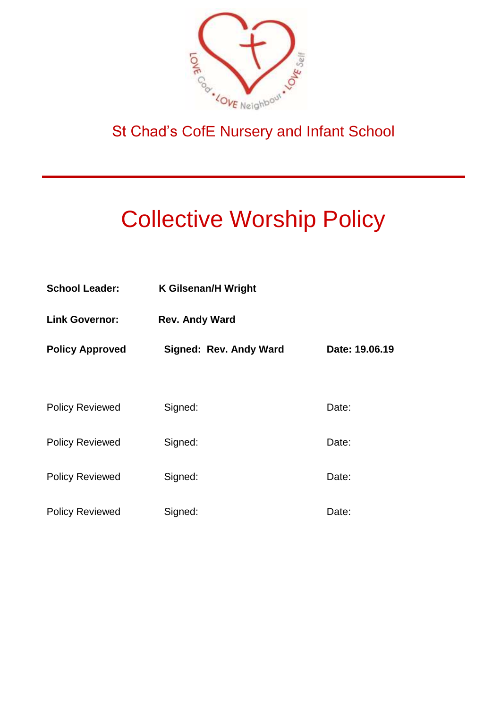

# St Chad's CofE Nursery and Infant School

# Collective Worship Policy

| <b>School Leader:</b>  | <b>K Gilsenan/H Wright</b>    |                |
|------------------------|-------------------------------|----------------|
| <b>Link Governor:</b>  | <b>Rev. Andy Ward</b>         |                |
| <b>Policy Approved</b> | <b>Signed: Rev. Andy Ward</b> | Date: 19.06.19 |
|                        |                               |                |
| <b>Policy Reviewed</b> | Signed:                       | Date:          |
| <b>Policy Reviewed</b> | Signed:                       | Date:          |
| <b>Policy Reviewed</b> | Signed:                       | Date:          |
| <b>Policy Reviewed</b> | Signed:                       | Date:          |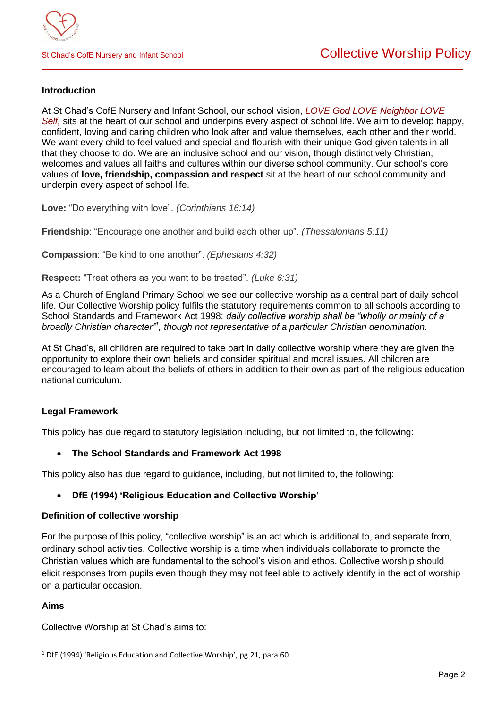### **Introduction**

At St Chad's CofE Nursery and Infant School, our school vision, *LOVE God LOVE Neighbor LOVE Self,* sits at the heart of our school and underpins every aspect of school life. We aim to develop happy, confident, loving and caring children who look after and value themselves, each other and their world. We want every child to feel valued and special and flourish with their unique God-given talents in all that they choose to do. We are an inclusive school and our vision, though distinctively Christian, welcomes and values all faiths and cultures within our diverse school community. Our school's core values of **love, friendship, compassion and respect** sit at the heart of our school community and underpin every aspect of school life.

**Love:** "Do everything with love". *(Corinthians 16:14)*

**Friendship**: "Encourage one another and build each other up". *(Thessalonians 5:11)*

**Compassion**: "Be kind to one another". *(Ephesians 4:32)*

**Respect:** "Treat others as you want to be treated". *(Luke 6:31)*

As a Church of England Primary School we see our collective worship as a central part of daily school life. Our Collective Worship policy fulfils the statutory requirements common to all schools according to School Standards and Framework Act 1998: *daily collective worship shall be "wholly or mainly of a*  broadly Christian character<sup>"1</sup>, though not representative of a particular Christian denomination.

At St Chad's, all children are required to take part in daily collective worship where they are given the opportunity to explore their own beliefs and consider spiritual and moral issues. All children are encouraged to learn about the beliefs of others in addition to their own as part of the religious education national curriculum.

### **Legal Framework**

This policy has due regard to statutory legislation including, but not limited to, the following:

**The School Standards and Framework Act 1998**

This policy also has due regard to guidance, including, but not limited to, the following:

### **DfE (1994) 'Religious Education and Collective Worship'**

### **Definition of collective worship**

For the purpose of this policy, "collective worship" is an act which is additional to, and separate from, ordinary school activities. Collective worship is a time when individuals collaborate to promote the Christian values which are fundamental to the school's vision and ethos. Collective worship should elicit responses from pupils even though they may not feel able to actively identify in the act of worship on a particular occasion.

### **Aims**

l

Collective Worship at St Chad's aims to:

<sup>&</sup>lt;sup>1</sup> DfE (1994) 'Religious Education and Collective Worship', pg.21, para.60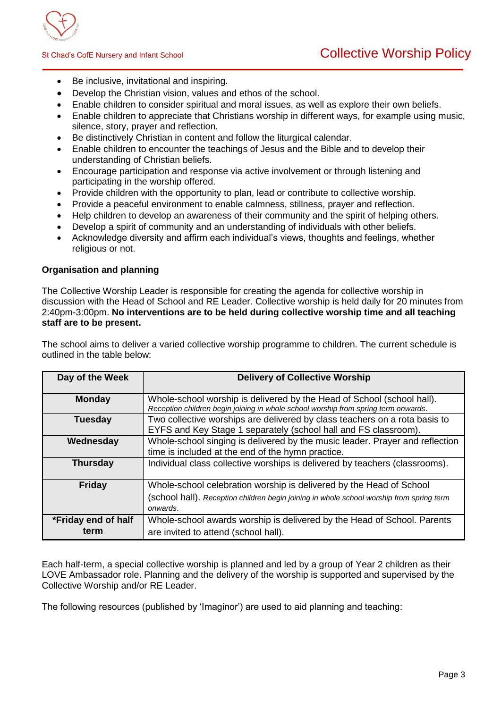

- Be inclusive, invitational and inspiring.
- Develop the Christian vision, values and ethos of the school.
- Enable children to consider spiritual and moral issues, as well as explore their own beliefs.
- Enable children to appreciate that Christians worship in different ways, for example using music, silence, story, prayer and reflection.
- Be distinctively Christian in content and follow the liturgical calendar.
- Enable children to encounter the teachings of Jesus and the Bible and to develop their understanding of Christian beliefs.
- Encourage participation and response via active involvement or through listening and participating in the worship offered.
- Provide children with the opportunity to plan, lead or contribute to collective worship.
- Provide a peaceful environment to enable calmness, stillness, prayer and reflection.
- Help children to develop an awareness of their community and the spirit of helping others.
- Develop a spirit of community and an understanding of individuals with other beliefs.
- Acknowledge diversity and affirm each individual's views, thoughts and feelings, whether religious or not.

### **Organisation and planning**

The Collective Worship Leader is responsible for creating the agenda for collective worship in discussion with the Head of School and RE Leader. Collective worship is held daily for 20 minutes from 2:40pm-3:00pm. **No interventions are to be held during collective worship time and all teaching staff are to be present.**

The school aims to deliver a varied collective worship programme to children. The current schedule is outlined in the table below:

| Day of the Week             | <b>Delivery of Collective Worship</b>                                                                                                                                       |
|-----------------------------|-----------------------------------------------------------------------------------------------------------------------------------------------------------------------------|
| <b>Monday</b>               | Whole-school worship is delivered by the Head of School (school hall).<br>Reception children begin joining in whole school worship from spring term onwards.                |
| <b>Tuesday</b>              | Two collective worships are delivered by class teachers on a rota basis to<br>EYFS and Key Stage 1 separately (school hall and FS classroom).                               |
| Wednesday                   | Whole-school singing is delivered by the music leader. Prayer and reflection<br>time is included at the end of the hymn practice.                                           |
| <b>Thursday</b>             | Individual class collective worships is delivered by teachers (classrooms).                                                                                                 |
| <b>Friday</b>               | Whole-school celebration worship is delivered by the Head of School<br>(school hall). Reception children begin joining in whole school worship from spring term<br>onwards. |
| *Friday end of half<br>term | Whole-school awards worship is delivered by the Head of School. Parents<br>are invited to attend (school hall).                                                             |

Each half-term, a special collective worship is planned and led by a group of Year 2 children as their LOVE Ambassador role. Planning and the delivery of the worship is supported and supervised by the Collective Worship and/or RE Leader.

The following resources (published by 'Imaginor') are used to aid planning and teaching: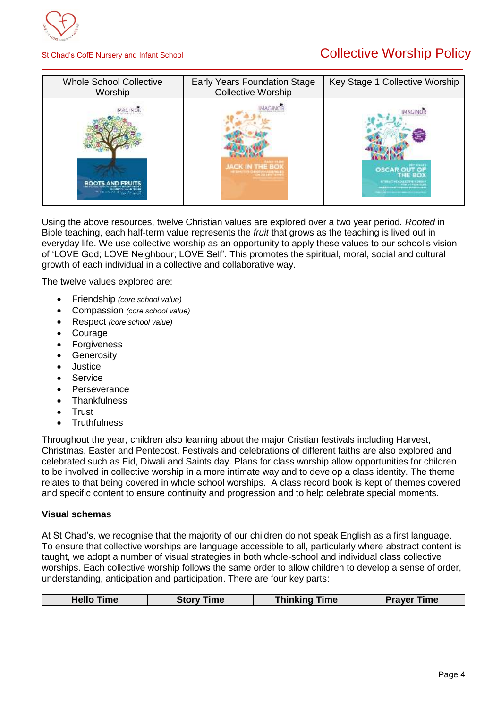

# St Chad's CofE Nursery and Infant School **Collective Worship Policy**

| <b>Whole School Collective</b><br>Worship | Early Years Foundation Stage<br><b>Collective Worship</b> | Key Stage 1 Collective Worship                                        |
|-------------------------------------------|-----------------------------------------------------------|-----------------------------------------------------------------------|
|                                           | JACK IN THE BOX<br><b>ALLEN CARDINAL ENGINEERING</b>      | <b>IMAGINO</b><br><b>OSCAR</b><br><b>BITTERETHE COLLECTIVE WORKER</b> |

Using the above resources, twelve Christian values are explored over a two year period*. Rooted* in Bible teaching, each half-term value represents the *fruit* that grows as the teaching is lived out in everyday life. We use collective worship as an opportunity to apply these values to our school's vision of 'LOVE God; LOVE Neighbour; LOVE Self'. This promotes the spiritual, moral, social and cultural growth of each individual in a collective and collaborative way.

The twelve values explored are:

- Friendship *(core school value)*
- Compassion *(core school value)*
- Respect *(core school value)*
- Courage
- **Forgiveness**
- **Generosity**
- Justice
- Service
- **Perseverance**
- **Thankfulness**
- **Trust**
- **Truthfulness**

Throughout the year, children also learning about the major Cristian festivals including Harvest, Christmas, Easter and Pentecost. Festivals and celebrations of different faiths are also explored and celebrated such as Eid, Diwali and Saints day. Plans for class worship allow opportunities for children to be involved in collective worship in a more intimate way and to develop a class identity. The theme relates to that being covered in whole school worships. A class record book is kept of themes covered and specific content to ensure continuity and progression and to help celebrate special moments.

### **Visual schemas**

At St Chad's, we recognise that the majority of our children do not speak English as a first language. To ensure that collective worships are language accessible to all, particularly where abstract content is taught, we adopt a number of visual strategies in both whole-school and individual class collective worships. Each collective worship follows the same order to allow children to develop a sense of order, understanding, anticipation and participation. There are four key parts:

| <b>Thinking Time</b><br><b>Hello Time</b><br><b>Prayer Time</b><br><b>Story Time</b> |
|--------------------------------------------------------------------------------------|
|--------------------------------------------------------------------------------------|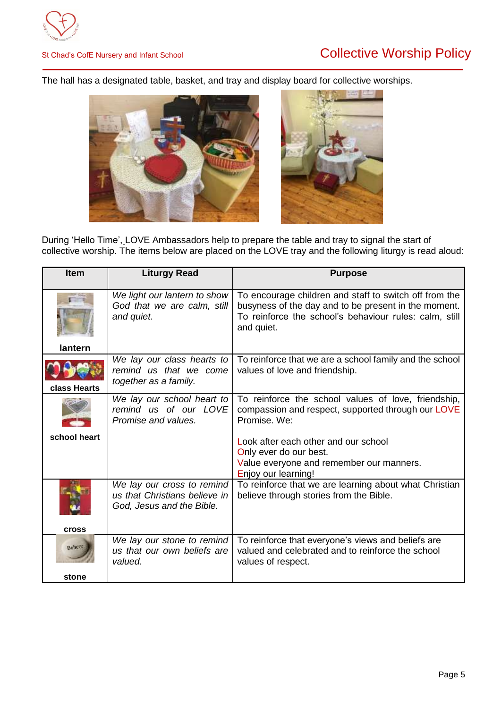# St Chad's CofE Nursery and Infant School **Collective Worship Policy**

The hall has a designated table, basket, and tray and display board for collective worships.



During 'Hello Time', LOVE Ambassadors help to prepare the table and tray to signal the start of collective worship. The items below are placed on the LOVE tray and the following liturgy is read aloud:

| <b>Item</b>            | <b>Liturgy Read</b>                                                                      | <b>Purpose</b>                                                                                                                                                                         |
|------------------------|------------------------------------------------------------------------------------------|----------------------------------------------------------------------------------------------------------------------------------------------------------------------------------------|
| lantern                | We light our lantern to show<br>God that we are calm, still<br>and quiet.                | To encourage children and staff to switch off from the<br>busyness of the day and to be present in the moment.<br>To reinforce the school's behaviour rules: calm, still<br>and quiet. |
| class Hearts           | We lay our class hearts to<br>remind us that we come<br>together as a family.            | To reinforce that we are a school family and the school<br>values of love and friendship.                                                                                              |
|                        | We lay our school heart to<br>remind us of our LOVE<br>Promise and values.               | To reinforce the school values of love, friendship,<br>compassion and respect, supported through our LOVE<br>Promise. We:                                                              |
| school heart           |                                                                                          | Look after each other and our school<br>Only ever do our best.<br>Value everyone and remember our manners.<br>Enjoy our learning!                                                      |
| <b>Cross</b>           | We lay our cross to remind<br>us that Christians believe in<br>God, Jesus and the Bible. | To reinforce that we are learning about what Christian<br>believe through stories from the Bible.                                                                                      |
| <b>Bencys</b><br>stone | We lay our stone to remind<br>us that our own beliefs are<br>valued.                     | To reinforce that everyone's views and beliefs are<br>valued and celebrated and to reinforce the school<br>values of respect.                                                          |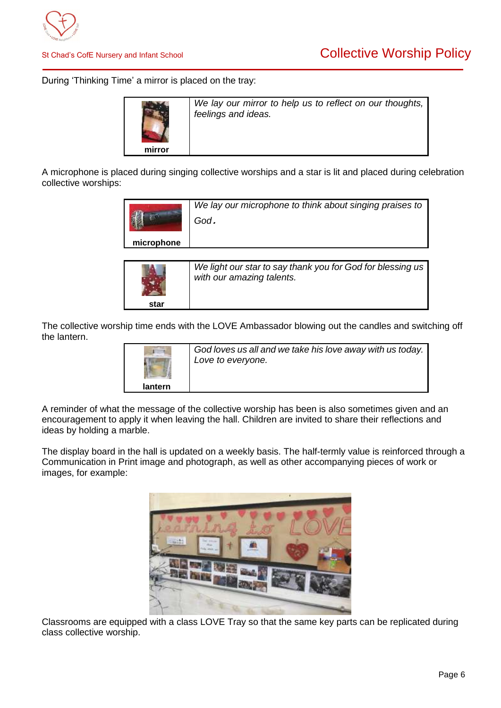

During 'Thinking Time' a mirror is placed on the tray:



*We lay our mirror to help us to reflect on our thoughts, feelings and ideas.*

A microphone is placed during singing collective worships and a star is lit and placed during celebration collective worships:

|            | We lay our microphone to think about singing praises to<br>God. |
|------------|-----------------------------------------------------------------|
| microphone |                                                                 |
|            |                                                                 |

|      | We light our star to say thank you for God for blessing us<br>with our amazing talents. |
|------|-----------------------------------------------------------------------------------------|
| star |                                                                                         |

The collective worship time ends with the LOVE Ambassador blowing out the candles and switching off the lantern.

|         | God loves us all and we take his love away with us today.<br>Love to everyone. |
|---------|--------------------------------------------------------------------------------|
| lantern |                                                                                |

A reminder of what the message of the collective worship has been is also sometimes given and an encouragement to apply it when leaving the hall. Children are invited to share their reflections and ideas by holding a marble.

The display board in the hall is updated on a weekly basis. The half-termly value is reinforced through a Communication in Print image and photograph, as well as other accompanying pieces of work or images, for example:



Classrooms are equipped with a class LOVE Tray so that the same key parts can be replicated during class collective worship.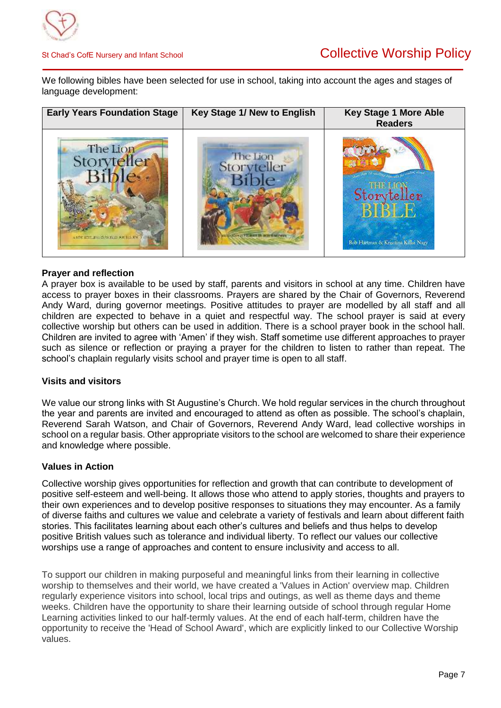

We following bibles have been selected for use in school, taking into account the ages and stages of language development:

| <b>Early Years Foundation Stage</b>                   | Key Stage 1/ New to English                                      | <b>Key Stage 1 More Able</b><br><b>Readers</b>     |
|-------------------------------------------------------|------------------------------------------------------------------|----------------------------------------------------|
| The Lion<br>ANDE ATTE AND IS FROM A FOR THE CO. I STA | The Lion<br>Storyteller<br><b><i>CALCULATION IN SUITABLY</i></b> | Storyteller<br>Bob Hartman & Krisztina Kallai Nagy |

### **Prayer and reflection**

A prayer box is available to be used by staff, parents and visitors in school at any time. Children have access to prayer boxes in their classrooms. Prayers are shared by the Chair of Governors, Reverend Andy Ward, during governor meetings. Positive attitudes to prayer are modelled by all staff and all children are expected to behave in a quiet and respectful way. The school prayer is said at every collective worship but others can be used in addition. There is a school prayer book in the school hall. Children are invited to agree with 'Amen' if they wish. Staff sometime use different approaches to prayer such as silence or reflection or praying a prayer for the children to listen to rather than repeat. The school's chaplain regularly visits school and prayer time is open to all staff.

### **Visits and visitors**

We value our strong links with St Augustine's Church. We hold regular services in the church throughout the year and parents are invited and encouraged to attend as often as possible. The school's chaplain, Reverend Sarah Watson, and Chair of Governors, Reverend Andy Ward, lead collective worships in school on a regular basis. Other appropriate visitors to the school are welcomed to share their experience and knowledge where possible.

### **Values in Action**

Collective worship gives opportunities for reflection and growth that can contribute to development of positive self-esteem and well-being. It allows those who attend to apply stories, thoughts and prayers to their own experiences and to develop positive responses to situations they may encounter. As a family of diverse faiths and cultures we value and celebrate a variety of festivals and learn about different faith stories. This facilitates learning about each other's cultures and beliefs and thus helps to develop positive British values such as tolerance and individual liberty. To reflect our values our collective worships use a range of approaches and content to ensure inclusivity and access to all.

To support our children in making purposeful and meaningful links from their learning in collective worship to themselves and their world, we have created a 'Values in Action' overview map. Children regularly experience visitors into school, local trips and outings, as well as theme days and theme weeks. Children have the opportunity to share their learning outside of school through regular Home Learning activities linked to our half-termly values. At the end of each half-term, children have the opportunity to receive the 'Head of School Award', which are explicitly linked to our Collective Worship values.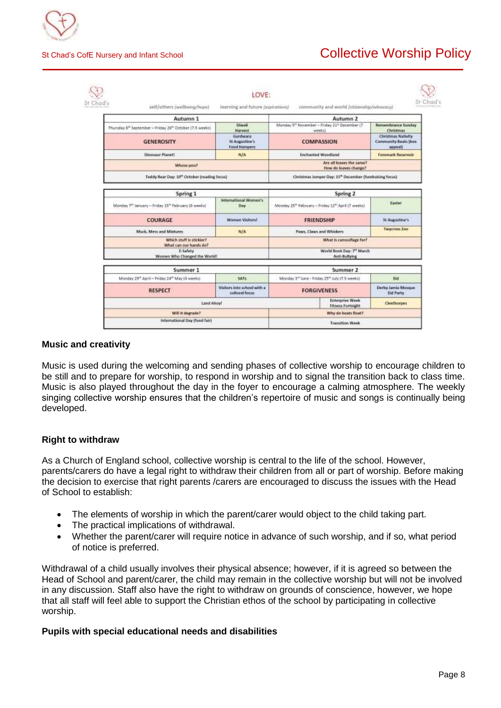

## St Chad's CofE Nursery and Infant School **Collective Worship Policy**

| self/others /wellbeing/hope)                                                     | learning and future (oppout/ons)                  |                                                                                 | community and world (citizenship/advacacy)                         |                                                              |
|----------------------------------------------------------------------------------|---------------------------------------------------|---------------------------------------------------------------------------------|--------------------------------------------------------------------|--------------------------------------------------------------|
| Autumn 1                                                                         |                                                   | Autumn 2                                                                        |                                                                    |                                                              |
| Thursday 6 <sup>th</sup> September - Friday 26 <sup>th</sup> October (7.5 weeks) | Diwali<br><b>Harvest</b>                          | Monday 5 <sup>th</sup> November - Friday 21 <sup>th</sup> December (7<br>weeks) |                                                                    | Remembrance Sunday<br>Christmas                              |
| <b>GENEROSITY</b>                                                                | Gurdwara<br>St Augustine's<br><b>Food Hampers</b> | <b>COMPASSION</b>                                                               |                                                                    | <b>Christmas Nativity</b><br>Community Beats (box<br>appeal) |
| <b>Dimosaur Planet!</b>                                                          | N/A                                               | <b>Enchanted Woodland</b>                                                       |                                                                    | Foremark Reservoir                                           |
| Whose goo?                                                                       |                                                   |                                                                                 | Are all leaves the same?<br>How do leaves change?                  |                                                              |
| Teddy Bear Day: 10 <sup>th</sup> October (reading focus)                         |                                                   |                                                                                 | Christmas Jumper Day: 15 <sup>*</sup> December (fundraising focus) |                                                              |
| Spring 1                                                                         |                                                   |                                                                                 | Spring 2                                                           |                                                              |
| Monday 7th January - Friday 15th February (6 weeks)                              | International Women's<br>Day                      | Monday 25th February - Friday 12th April (7 weeks)                              |                                                                    | Easter                                                       |
| COURAGE                                                                          | Women Visitors!                                   | <b>FRIENDSHIP</b>                                                               |                                                                    | <b>St Augustine's</b>                                        |
| Muck, Mess and Mixtures                                                          | <b>N/A</b>                                        | Paws, Claws and Whiskers                                                        |                                                                    | Twycross Zool                                                |
| Which stuff is stickier?<br>What can our hands do?                               |                                                   | What is camouflage for?                                                         |                                                                    |                                                              |
| E-Safety<br>Women Who Changed the World!                                         |                                                   |                                                                                 | World Book Day: 7th March<br>Anti-Bullying                         |                                                              |
| Summer 1                                                                         |                                                   |                                                                                 | Summer 2                                                           |                                                              |
| Monday 29" April - Friday 24" May 14 weeks!                                      | SATS                                              | Monday 3 <sup>nd</sup> June - Friday 25 <sup>th</sup> July 17.5 weeks)          |                                                                    | Eld                                                          |
| <b>RESPECT</b>                                                                   | Visitors into school with a<br>cultural focus.    | <b>FORGIVENESS</b>                                                              |                                                                    | Derby Jamia Mosque<br>Eid Party                              |
| Land Ahoy!                                                                       |                                                   |                                                                                 | <b>Enterprise Week</b><br><b>Fitness Fortnight</b>                 | Cleethorpes                                                  |

### **Music and creativity**

Music is used during the welcoming and sending phases of collective worship to encourage children to be still and to prepare for worship, to respond in worship and to signal the transition back to class time. Music is also played throughout the day in the foyer to encourage a calming atmosphere. The weekly singing collective worship ensures that the children's repertoire of music and songs is continually being developed.

### **Right to withdraw**

As a Church of England school, collective worship is central to the life of the school. However, parents/carers do have a legal right to withdraw their children from all or part of worship. Before making the decision to exercise that right parents /carers are encouraged to discuss the issues with the Head of School to establish:

- The elements of worship in which the parent/carer would object to the child taking part.
- The practical implications of withdrawal.
- Whether the parent/carer will require notice in advance of such worship, and if so, what period of notice is preferred.

Withdrawal of a child usually involves their physical absence; however, if it is agreed so between the Head of School and parent/carer, the child may remain in the collective worship but will not be involved in any discussion. Staff also have the right to withdraw on grounds of conscience, however, we hope that all staff will feel able to support the Christian ethos of the school by participating in collective worship.

### **Pupils with special educational needs and disabilities**